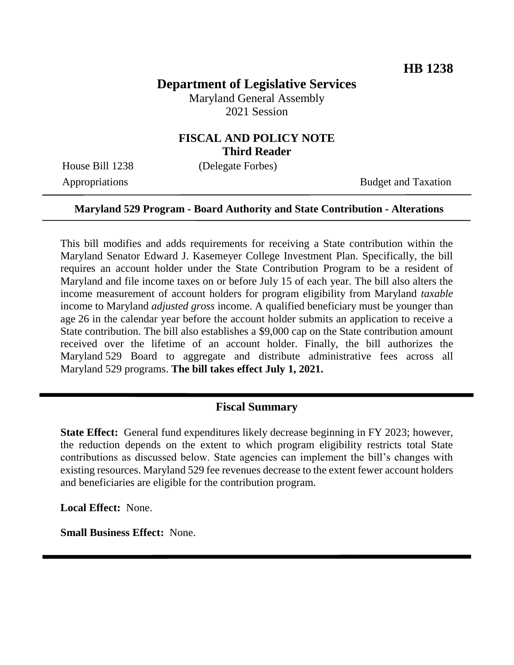# **Department of Legislative Services**

Maryland General Assembly 2021 Session

### **FISCAL AND POLICY NOTE Third Reader**

House Bill 1238 (Delegate Forbes)

Appropriations Budget and Taxation

#### **Maryland 529 Program - Board Authority and State Contribution - Alterations**

This bill modifies and adds requirements for receiving a State contribution within the Maryland Senator Edward J. Kasemeyer College Investment Plan. Specifically, the bill requires an account holder under the State Contribution Program to be a resident of Maryland and file income taxes on or before July 15 of each year. The bill also alters the income measurement of account holders for program eligibility from Maryland *taxable*  income to Maryland *adjusted gross* income. A qualified beneficiary must be younger than age 26 in the calendar year before the account holder submits an application to receive a State contribution. The bill also establishes a \$9,000 cap on the State contribution amount received over the lifetime of an account holder. Finally, the bill authorizes the Maryland 529 Board to aggregate and distribute administrative fees across all Maryland 529 programs. **The bill takes effect July 1, 2021.**

#### **Fiscal Summary**

**State Effect:** General fund expenditures likely decrease beginning in FY 2023; however, the reduction depends on the extent to which program eligibility restricts total State contributions as discussed below. State agencies can implement the bill's changes with existing resources. Maryland 529 fee revenues decrease to the extent fewer account holders and beneficiaries are eligible for the contribution program.

**Local Effect:** None.

**Small Business Effect:** None.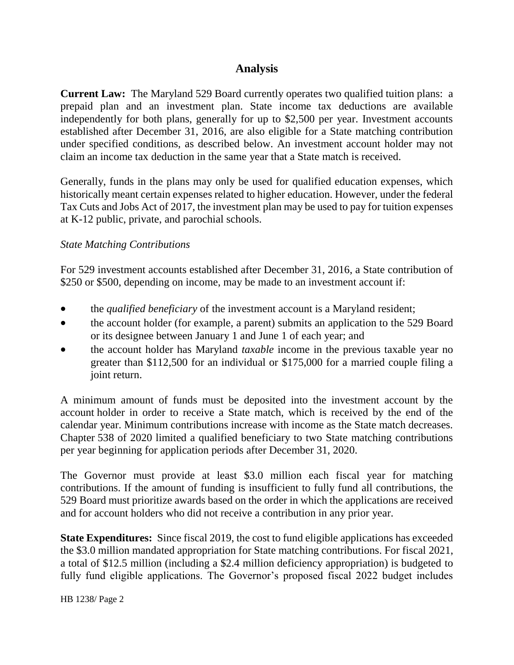## **Analysis**

**Current Law:** The Maryland 529 Board currently operates two qualified tuition plans: a prepaid plan and an investment plan. State income tax deductions are available independently for both plans, generally for up to \$2,500 per year. Investment accounts established after December 31, 2016, are also eligible for a State matching contribution under specified conditions, as described below. An investment account holder may not claim an income tax deduction in the same year that a State match is received.

Generally, funds in the plans may only be used for qualified education expenses, which historically meant certain expenses related to higher education. However, under the federal Tax Cuts and Jobs Act of 2017, the investment plan may be used to pay for tuition expenses at K-12 public, private, and parochial schools.

#### *State Matching Contributions*

For 529 investment accounts established after December 31, 2016, a State contribution of \$250 or \$500, depending on income, may be made to an investment account if:

- the *qualified beneficiary* of the investment account is a Maryland resident;
- the account holder (for example, a parent) submits an application to the 529 Board or its designee between January 1 and June 1 of each year; and
- the account holder has Maryland *taxable* income in the previous taxable year no greater than \$112,500 for an individual or \$175,000 for a married couple filing a joint return.

A minimum amount of funds must be deposited into the investment account by the account holder in order to receive a State match, which is received by the end of the calendar year. Minimum contributions increase with income as the State match decreases. Chapter 538 of 2020 limited a qualified beneficiary to two State matching contributions per year beginning for application periods after December 31, 2020.

The Governor must provide at least \$3.0 million each fiscal year for matching contributions. If the amount of funding is insufficient to fully fund all contributions, the 529 Board must prioritize awards based on the order in which the applications are received and for account holders who did not receive a contribution in any prior year.

**State Expenditures:** Since fiscal 2019, the cost to fund eligible applications has exceeded the \$3.0 million mandated appropriation for State matching contributions. For fiscal 2021, a total of \$12.5 million (including a \$2.4 million deficiency appropriation) is budgeted to fully fund eligible applications. The Governor's proposed fiscal 2022 budget includes